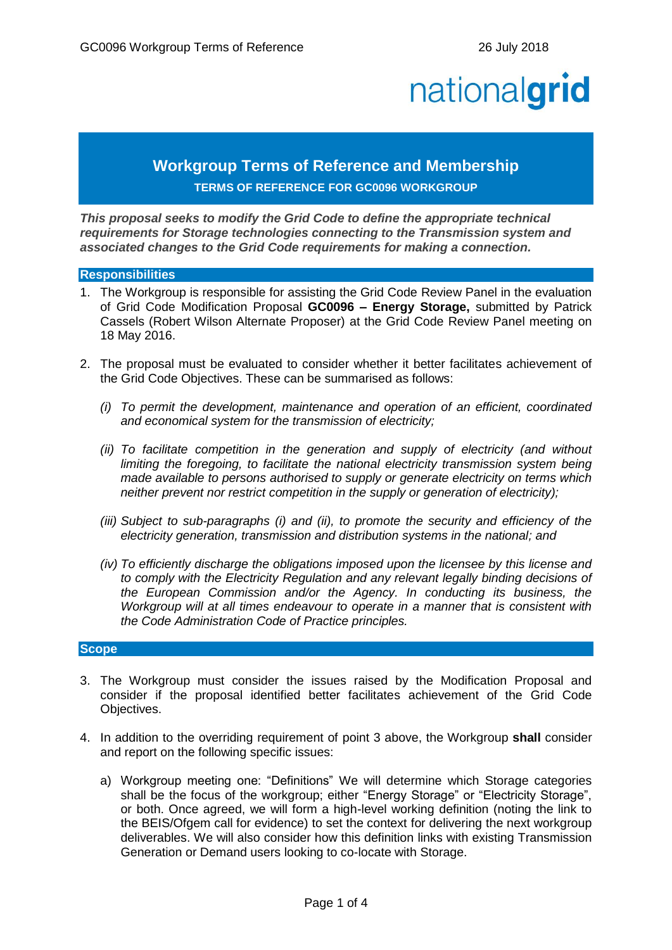# nationalgrid

# **Workgroup Terms of Reference and Membership**

# **TERMS OF REFERENCE FOR GC0096 WORKGROUP**

*This proposal seeks to modify the Grid Code to define the appropriate technical requirements for Storage technologies connecting to the Transmission system and associated changes to the Grid Code requirements for making a connection.*

#### **Responsibilities**

- 1. The Workgroup is responsible for assisting the Grid Code Review Panel in the evaluation of Grid Code Modification Proposal **GC0096 – Energy Storage,** submitted by Patrick Cassels (Robert Wilson Alternate Proposer) at the Grid Code Review Panel meeting on 18 May 2016.
- 2. The proposal must be evaluated to consider whether it better facilitates achievement of the Grid Code Objectives. These can be summarised as follows:
	- *(i) To permit the development, maintenance and operation of an efficient, coordinated and economical system for the transmission of electricity;*
	- *(ii) To facilitate competition in the generation and supply of electricity (and without limiting the foregoing, to facilitate the national electricity transmission system being made available to persons authorised to supply or generate electricity on terms which neither prevent nor restrict competition in the supply or generation of electricity);*
	- *(iii) Subject to sub-paragraphs (i) and (ii), to promote the security and efficiency of the electricity generation, transmission and distribution systems in the national; and*
	- *(iv) To efficiently discharge the obligations imposed upon the licensee by this license and to comply with the Electricity Regulation and any relevant legally binding decisions of the European Commission and/or the Agency. In conducting its business, the Workgroup will at all times endeavour to operate in a manner that is consistent with the Code Administration Code of Practice principles.*

## **Scope**

- 3. The Workgroup must consider the issues raised by the Modification Proposal and consider if the proposal identified better facilitates achievement of the Grid Code Objectives.
- 4. In addition to the overriding requirement of point 3 above, the Workgroup **shall** consider and report on the following specific issues:
	- a) Workgroup meeting one: "Definitions" We will determine which Storage categories shall be the focus of the workgroup; either "Energy Storage" or "Electricity Storage", or both. Once agreed, we will form a high-level working definition (noting the link to the BEIS/Ofgem call for evidence) to set the context for delivering the next workgroup deliverables. We will also consider how this definition links with existing Transmission Generation or Demand users looking to co-locate with Storage.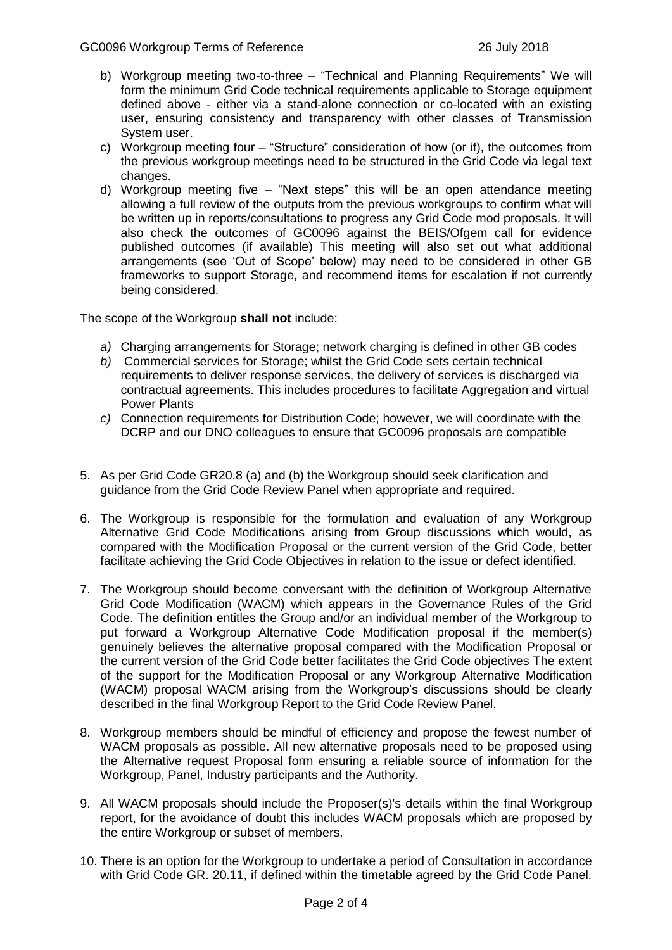- b) Workgroup meeting two-to-three "Technical and Planning Requirements" We will form the minimum Grid Code technical requirements applicable to Storage equipment defined above - either via a stand-alone connection or co-located with an existing user, ensuring consistency and transparency with other classes of Transmission System user.
- c) Workgroup meeting four "Structure" consideration of how (or if), the outcomes from the previous workgroup meetings need to be structured in the Grid Code via legal text changes.
- d) Workgroup meeting five "Next steps" this will be an open attendance meeting allowing a full review of the outputs from the previous workgroups to confirm what will be written up in reports/consultations to progress any Grid Code mod proposals. It will also check the outcomes of GC0096 against the BEIS/Ofgem call for evidence published outcomes (if available) This meeting will also set out what additional arrangements (see 'Out of Scope' below) may need to be considered in other GB frameworks to support Storage, and recommend items for escalation if not currently being considered.

The scope of the Workgroup **shall not** include:

- *a)* Charging arrangements for Storage; network charging is defined in other GB codes
- *b)* Commercial services for Storage; whilst the Grid Code sets certain technical requirements to deliver response services, the delivery of services is discharged via contractual agreements. This includes procedures to facilitate Aggregation and virtual Power Plants
- *c)* Connection requirements for Distribution Code; however, we will coordinate with the DCRP and our DNO colleagues to ensure that GC0096 proposals are compatible
- 5. As per Grid Code GR20.8 (a) and (b) the Workgroup should seek clarification and guidance from the Grid Code Review Panel when appropriate and required.
- 6. The Workgroup is responsible for the formulation and evaluation of any Workgroup Alternative Grid Code Modifications arising from Group discussions which would, as compared with the Modification Proposal or the current version of the Grid Code, better facilitate achieving the Grid Code Objectives in relation to the issue or defect identified.
- 7. The Workgroup should become conversant with the definition of Workgroup Alternative Grid Code Modification (WACM) which appears in the Governance Rules of the Grid Code. The definition entitles the Group and/or an individual member of the Workgroup to put forward a Workgroup Alternative Code Modification proposal if the member(s) genuinely believes the alternative proposal compared with the Modification Proposal or the current version of the Grid Code better facilitates the Grid Code objectives The extent of the support for the Modification Proposal or any Workgroup Alternative Modification (WACM) proposal WACM arising from the Workgroup's discussions should be clearly described in the final Workgroup Report to the Grid Code Review Panel.
- 8. Workgroup members should be mindful of efficiency and propose the fewest number of WACM proposals as possible. All new alternative proposals need to be proposed using the Alternative request Proposal form ensuring a reliable source of information for the Workgroup, Panel, Industry participants and the Authority.
- 9. All WACM proposals should include the Proposer(s)'s details within the final Workgroup report, for the avoidance of doubt this includes WACM proposals which are proposed by the entire Workgroup or subset of members.
- 10. There is an option for the Workgroup to undertake a period of Consultation in accordance with Grid Code GR. 20.11, if defined within the timetable agreed by the Grid Code Panel.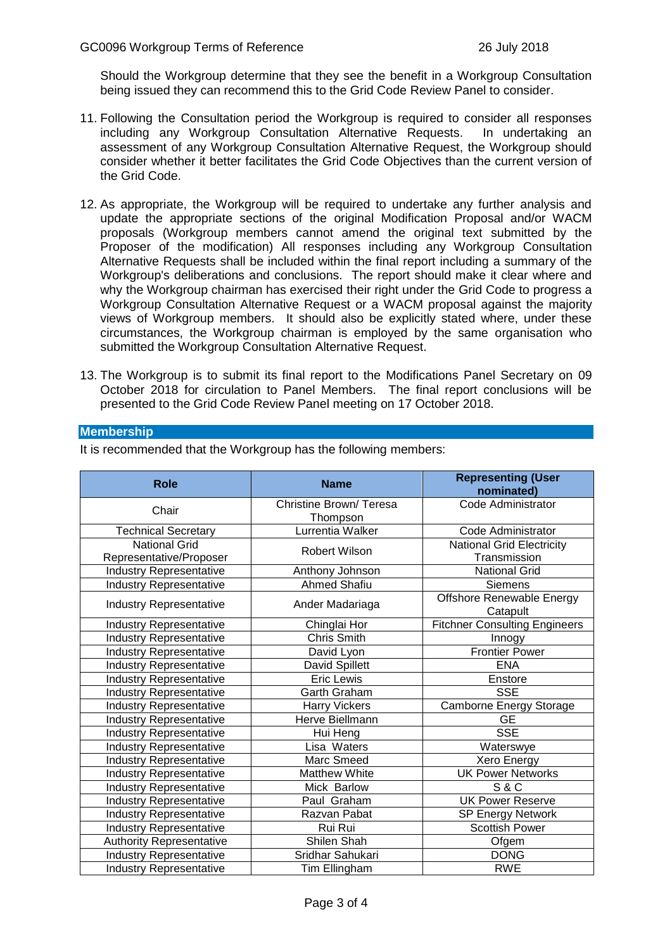Should the Workgroup determine that they see the benefit in a Workgroup Consultation being issued they can recommend this to the Grid Code Review Panel to consider.

- 11. Following the Consultation period the Workgroup is required to consider all responses including any Workgroup Consultation Alternative Requests. In undertaking an assessment of any Workgroup Consultation Alternative Request, the Workgroup should consider whether it better facilitates the Grid Code Objectives than the current version of the Grid Code.
- 12. As appropriate, the Workgroup will be required to undertake any further analysis and update the appropriate sections of the original Modification Proposal and/or WACM proposals (Workgroup members cannot amend the original text submitted by the Proposer of the modification) All responses including any Workgroup Consultation Alternative Requests shall be included within the final report including a summary of the Workgroup's deliberations and conclusions. The report should make it clear where and why the Workgroup chairman has exercised their right under the Grid Code to progress a Workgroup Consultation Alternative Request or a WACM proposal against the majority views of Workgroup members. It should also be explicitly stated where, under these circumstances, the Workgroup chairman is employed by the same organisation who submitted the Workgroup Consultation Alternative Request.
- 13. The Workgroup is to submit its final report to the Modifications Panel Secretary on 09 October 2018 for circulation to Panel Members. The final report conclusions will be presented to the Grid Code Review Panel meeting on 17 October 2018.

## **Membership**

| <b>Role</b>                     | <b>Name</b>            | <b>Representing (User</b><br>nominated) |
|---------------------------------|------------------------|-----------------------------------------|
| Chair                           | Christine Brown/Teresa | Code Administrator                      |
|                                 | Thompson               |                                         |
| <b>Technical Secretary</b>      | Lurrentia Walker       | Code Administrator                      |
| <b>National Grid</b>            | Robert Wilson          | <b>National Grid Electricity</b>        |
| Representative/Proposer         |                        | Transmission                            |
| <b>Industry Representative</b>  | Anthony Johnson        | <b>National Grid</b>                    |
| <b>Industry Representative</b>  | <b>Ahmed Shafiu</b>    | <b>Siemens</b>                          |
| <b>Industry Representative</b>  | Ander Madariaga        | Offshore Renewable Energy               |
|                                 |                        | Catapult                                |
| <b>Industry Representative</b>  | Chinglai Hor           | <b>Fitchner Consulting Engineers</b>    |
| <b>Industry Representative</b>  | Chris Smith            | Innogy                                  |
| <b>Industry Representative</b>  | David Lyon             | <b>Frontier Power</b>                   |
| <b>Industry Representative</b>  | David Spillett         | <b>ENA</b>                              |
| <b>Industry Representative</b>  | <b>Eric Lewis</b>      | Enstore                                 |
| <b>Industry Representative</b>  | Garth Graham           | <b>SSE</b>                              |
| <b>Industry Representative</b>  | Harry Vickers          | Camborne Energy Storage                 |
| <b>Industry Representative</b>  | Herve Biellmann        | <b>GE</b>                               |
| <b>Industry Representative</b>  | Hui Heng               | <b>SSE</b>                              |
| <b>Industry Representative</b>  | Lisa Waters            | Waterswye                               |
| <b>Industry Representative</b>  | Marc Smeed             | Xero Energy                             |
| <b>Industry Representative</b>  | <b>Matthew White</b>   | <b>UK Power Networks</b>                |
| <b>Industry Representative</b>  | Mick Barlow            | <b>S&amp;C</b>                          |
| <b>Industry Representative</b>  | Paul Graham            | <b>UK Power Reserve</b>                 |
| <b>Industry Representative</b>  | Razvan Pabat           | <b>SP Energy Network</b>                |
| <b>Industry Representative</b>  | Rui Rui                | <b>Scottish Power</b>                   |
| <b>Authority Representative</b> | Shilen Shah            | Ofgem                                   |
| Industry Representative         | Sridhar Sahukari       | <b>DONG</b>                             |
| <b>Industry Representative</b>  | Tim Ellingham          | <b>RWE</b>                              |

It is recommended that the Workgroup has the following members: